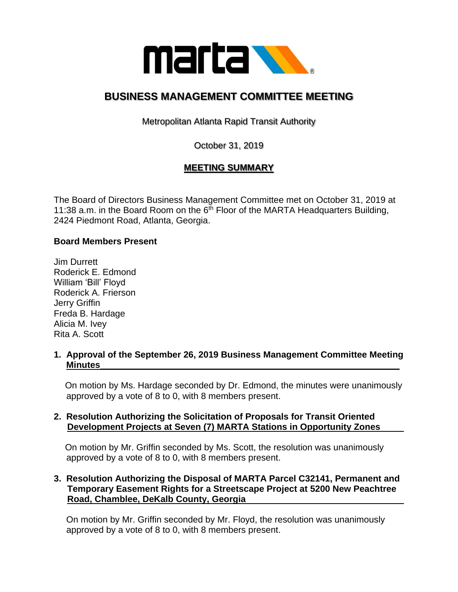

# **BUSINESS MANAGEMENT COMMITTEE MEETING**

Metropolitan Atlanta Rapid Transit Authority

October 31, 2019

# **MEETING SUMMARY**

The Board of Directors Business Management Committee met on October 31, 2019 at 11:38 a.m. in the Board Room on the  $6<sup>th</sup>$  Floor of the MARTA Headquarters Building, 2424 Piedmont Road, Atlanta, Georgia.

# **Board Members Present**

Jim Durrett Roderick E. Edmond William 'Bill' Floyd Roderick A. Frierson Jerry Griffin Freda B. Hardage Alicia M. Ivey Rita A. Scott

# **1. Approval of the September 26, 2019 Business Management Committee Meeting Minutes\_\_\_\_\_\_\_\_\_\_\_\_\_\_\_\_\_\_\_\_\_\_\_\_\_\_\_\_\_\_\_\_\_\_\_\_\_\_\_\_\_\_\_\_\_\_\_\_\_\_\_\_\_\_\_\_\_\_\_\_**

 On motion by Ms. Hardage seconded by Dr. Edmond, the minutes were unanimously approved by a vote of 8 to 0, with 8 members present.

# **2. Resolution Authorizing the Solicitation of Proposals for Transit Oriented Development Projects at Seven (7) MARTA Stations in Opportunity Zones**

 On motion by Mr. Griffin seconded by Ms. Scott, the resolution was unanimously approved by a vote of 8 to 0, with 8 members present.

# **3. Resolution Authorizing the Disposal of MARTA Parcel C32141, Permanent and Temporary Easement Rights for a Streetscape Project at 5200 New Peachtree Road, Chamblee, DeKalb County, Georgia**

 On motion by Mr. Griffin seconded by Mr. Floyd, the resolution was unanimously approved by a vote of 8 to 0, with 8 members present.